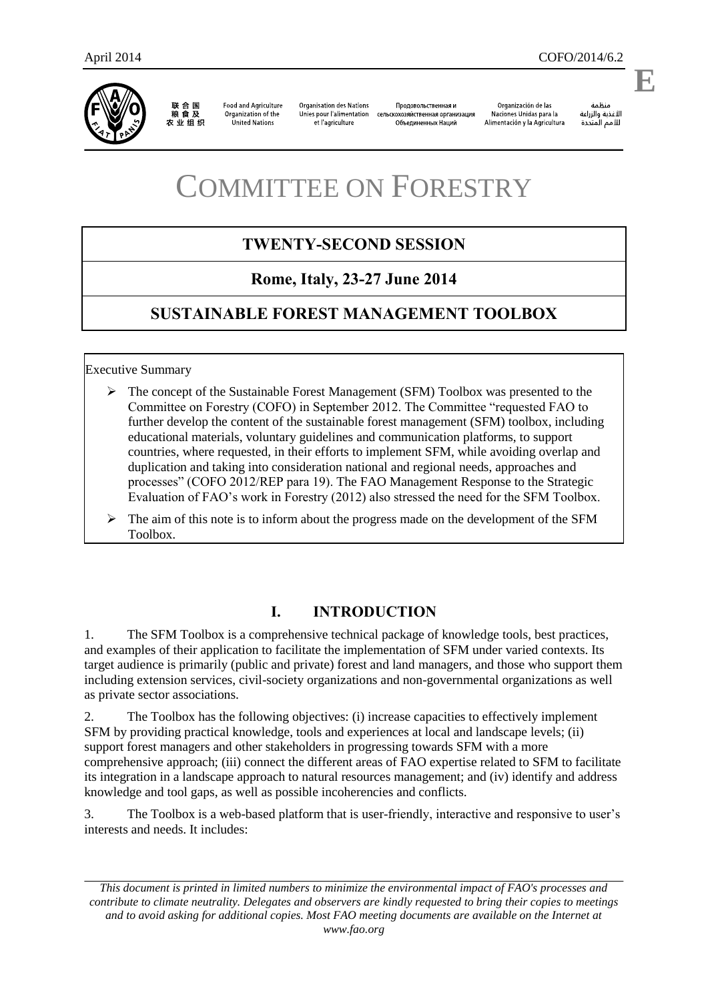联合国<br>粮食及 农业组织

**Food and Agriculture** Organization of the United Nations

**Organisation des Nations** Продовольственная и Unies pour l'alimentation сельскохозяйственная организация et l'agriculture Объединенных Наций

Organización de las Naciones Unidas para la Alimentación y la Agricultura

änhin الأغذية والزراعة للأمم المتحدة

.

# COMMITTEE ON FORESTRY

# **TWENTY-SECOND SESSION**

# **Rome, Italy, 23-27 June 2014**

# **SUSTAINABLE FOREST MANAGEMENT TOOLBOX**

Executive Summary

- $\triangleright$  The concept of the Sustainable Forest Management (SFM) Toolbox was presented to the Committee on Forestry (COFO) in September 2012. The Committee "requested FAO to further develop the content of the sustainable forest management (SFM) toolbox, including educational materials, voluntary guidelines and communication platforms, to support countries, where requested, in their efforts to implement SFM, while avoiding overlap and duplication and taking into consideration national and regional needs, approaches and processes" (COFO 2012/REP para 19). The FAO Management Response to the Strategic Evaluation of FAO's work in Forestry (2012) also stressed the need for the SFM Toolbox.
- $\triangleright$  The aim of this note is to inform about the progress made on the development of the SFM Toolbox.

## **I. INTRODUCTION**

1. The SFM Toolbox is a comprehensive technical package of knowledge tools, best practices, and examples of their application to facilitate the implementation of SFM under varied contexts. Its target audience is primarily (public and private) forest and land managers, and those who support them including extension services, civil-society organizations and non-governmental organizations as well as private sector associations.

2. The Toolbox has the following objectives: (i) increase capacities to effectively implement SFM by providing practical knowledge, tools and experiences at local and landscape levels; (ii) support forest managers and other stakeholders in progressing towards SFM with a more comprehensive approach; (iii) connect the different areas of FAO expertise related to SFM to facilitate its integration in a landscape approach to natural resources management; and (iv) identify and address knowledge and tool gaps, as well as possible incoherencies and conflicts.

3. The Toolbox is a web-based platform that is user-friendly, interactive and responsive to user's interests and needs. It includes:

*This document is printed in limited numbers to minimize the environmental impact of FAO's processes and contribute to climate neutrality. Delegates and observers are kindly requested to bring their copies to meetings and to avoid asking for additional copies. Most FAO meeting documents are available on the Internet at www.fao.org*

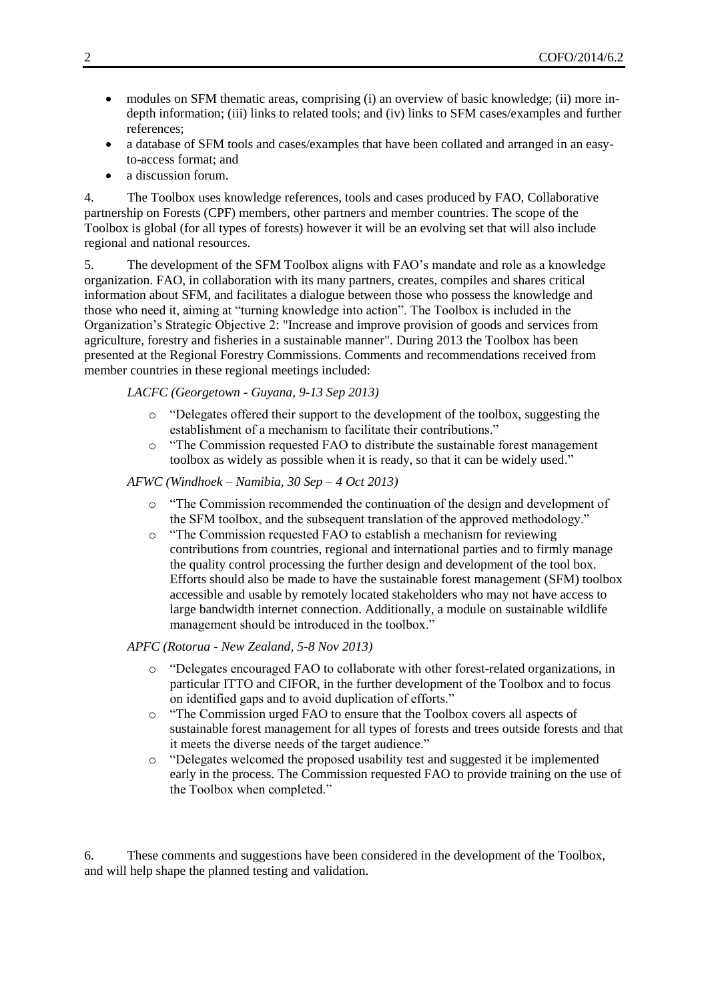- modules on SFM thematic areas, comprising (i) an overview of basic knowledge; (ii) more indepth information; (iii) links to related tools; and (iv) links to SFM cases/examples and further references;
- a database of SFM tools and cases/examples that have been collated and arranged in an easyto-access format; and
- a discussion forum.

4. The Toolbox uses knowledge references, tools and cases produced by FAO, Collaborative partnership on Forests (CPF) members, other partners and member countries. The scope of the Toolbox is global (for all types of forests) however it will be an evolving set that will also include regional and national resources.

5. The development of the SFM Toolbox aligns with FAO's mandate and role as a knowledge organization. FAO, in collaboration with its many partners, creates, compiles and shares critical information about SFM, and facilitates a dialogue between those who possess the knowledge and those who need it, aiming at "turning knowledge into action". The Toolbox is included in the Organization's Strategic Objective 2: "Increase and improve provision of goods and services from agriculture, forestry and fisheries in a sustainable manner". During 2013 the Toolbox has been presented at the Regional Forestry Commissions. Comments and recommendations received from member countries in these regional meetings included:

### *LACFC (Georgetown - Guyana, 9-13 Sep 2013)*

- o "Delegates offered their support to the development of the toolbox, suggesting the establishment of a mechanism to facilitate their contributions."
- o "The Commission requested FAO to distribute the sustainable forest management toolbox as widely as possible when it is ready, so that it can be widely used."

#### *AFWC (Windhoek – Namibia, 30 Sep – 4 Oct 2013)*

- o "The Commission recommended the continuation of the design and development of the SFM toolbox, and the subsequent translation of the approved methodology."
- o "The Commission requested FAO to establish a mechanism for reviewing contributions from countries, regional and international parties and to firmly manage the quality control processing the further design and development of the tool box. Efforts should also be made to have the sustainable forest management (SFM) toolbox accessible and usable by remotely located stakeholders who may not have access to large bandwidth internet connection. Additionally, a module on sustainable wildlife management should be introduced in the toolbox."

## *APFC (Rotorua - New Zealand, 5-8 Nov 2013)*

- o "Delegates encouraged FAO to collaborate with other forest-related organizations, in particular ITTO and CIFOR, in the further development of the Toolbox and to focus on identified gaps and to avoid duplication of efforts."
- o "The Commission urged FAO to ensure that the Toolbox covers all aspects of sustainable forest management for all types of forests and trees outside forests and that it meets the diverse needs of the target audience."
- o "Delegates welcomed the proposed usability test and suggested it be implemented early in the process. The Commission requested FAO to provide training on the use of the Toolbox when completed."

6. These comments and suggestions have been considered in the development of the Toolbox, and will help shape the planned testing and validation.